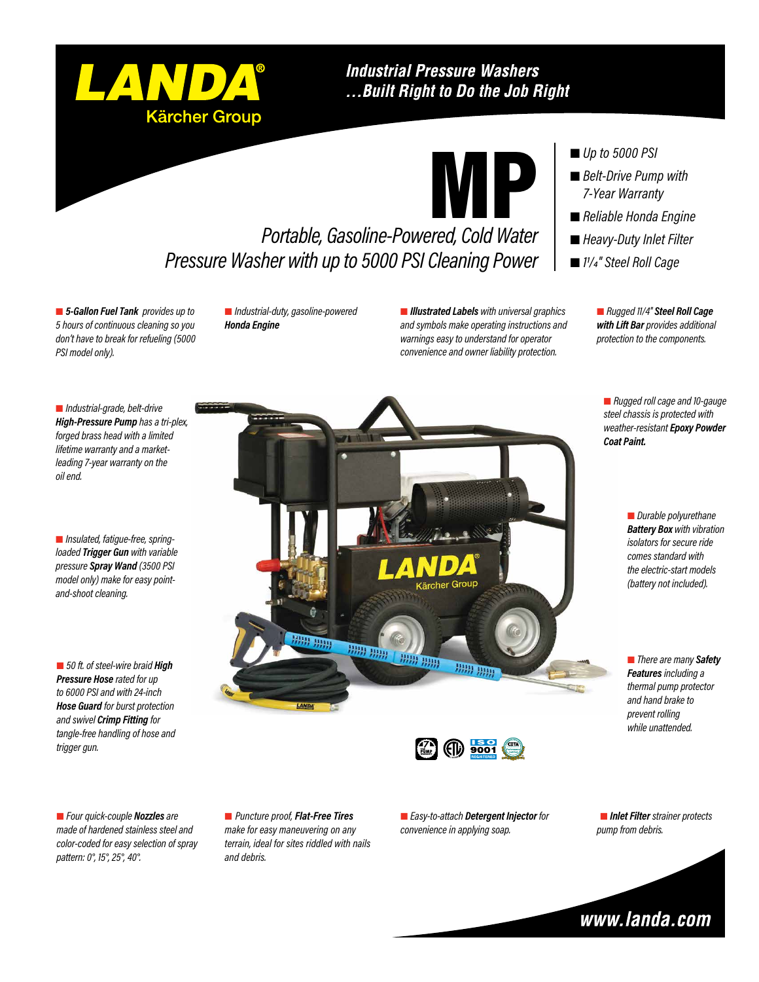

### **Industrial Pressure Washers** ... Built Right to Do the Job Right



# *Portable, Gasoline-Powered, Cold Water Pressure Washer with up to 5000 PSI Cleaning Power*

 *5-Gallon Fuel Tank provides up to 5 hours of continuous cleaning so you don't have to break for refueling (5000 PSI model only).*

 *Industrial-duty, gasoline-powered Honda Engine*

 *Illustrated Labels with universal graphics and symbols make operating instructions and warnings easy to understand for operator convenience and owner liability protection.*

#### ■ *Up to 5000 PSI*

- *Belt-Drive Pump with 7-Year Warranty*
- *Reliable Honda Engine*
- *Heavy-Duty Inlet Filter*
- *11/4" Steel Roll Cage*

 *Rugged 11/4" Steel Roll Cage with Lift Bar provides additional protection to the components.*

 *Rugged roll cage and 10-gauge steel chassis is protected with weather-resistant Epoxy Powder Coat Paint.*

> *Durable polyurethane Battery Box with vibration isolators for secure ride comes standard with the electric-start models (battery not included).*

 *There are many Safety Features including a thermal pump protector and hand brake to prevent rolling while unattended.*



 *Industrial-grade, belt-drive High-Pressure Pump has a tri-plex, forged brass head with a limited lifetime warranty and a marketleading 7-year warranty on the oil end.*

 *Insulated, fatigue-free, springloaded Trigger Gun with variable pressure Spray Wand (3500 PSI model only) make for easy pointand-shoot cleaning.*

■ 50 ft. of steel-wire braid **High** *Pressure Hose rated for up to 6000 PSI and with 24-inch Hose Guard for burst protection and swivel Crimp Fitting for tangle-free handling of hose and trigger gun.*

 *Four quick-couple Nozzles are made of hardened stainless steel and color-coded for easy selection of spray pattern: 0°, 15°, 25°, 40°.*

 *Puncture proof, Flat-Free Tires make for easy maneuvering on any terrain, ideal for sites riddled with nails and debris.*

 *Easy-to-attach Detergent Injector for convenience in applying soap.*

 *Inlet Filter strainer protects pump from debris.*

 $(f|_l)$  9001 **PUMP WARRANTY**